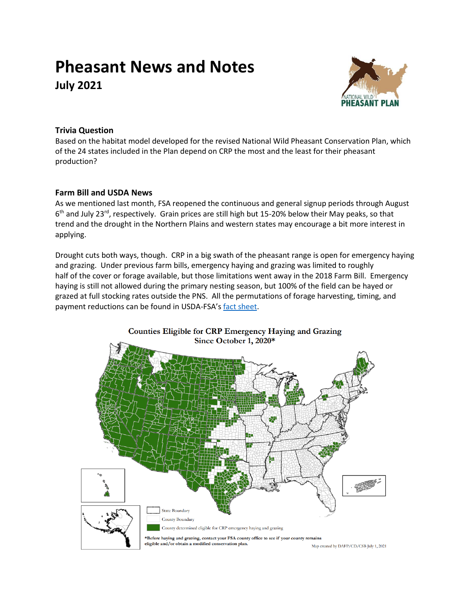# **Pheasant News and Notes July 2021**



# **Trivia Question**

Based on the habitat model developed for the revised National Wild Pheasant Conservation Plan, which of the 24 states included in the Plan depend on CRP the most and the least for their pheasant production?

## **Farm Bill and USDA News**

As we mentioned last month, FSA reopened the continuous and general signup periods through August 6<sup>th</sup> and July 23<sup>rd</sup>, respectively. Grain prices are still high but 15-20% below their May peaks, so that trend and the drought in the Northern Plains and western states may encourage a bit more interest in applying.

Drought cuts both ways, though. CRP in a big swath of the pheasant range is open for emergency haying and grazing. Under previous farm bills, emergency haying and grazing was limited to roughly half of the cover or forage available, but those limitations went away in the 2018 Farm Bill. Emergency haying is still not allowed during the primary nesting season, but 100% of the field can be hayed or grazed at full stocking rates outside the PNS. All the permutations of forage harvesting, timing, and payment reductions can be found in USDA-FSA's [fact sheet.](https://www.fsa.usda.gov/Assets/USDA-FSA-Public/usdafiles/FactSheets/crp_haying_grazing_factsheet.pdf)

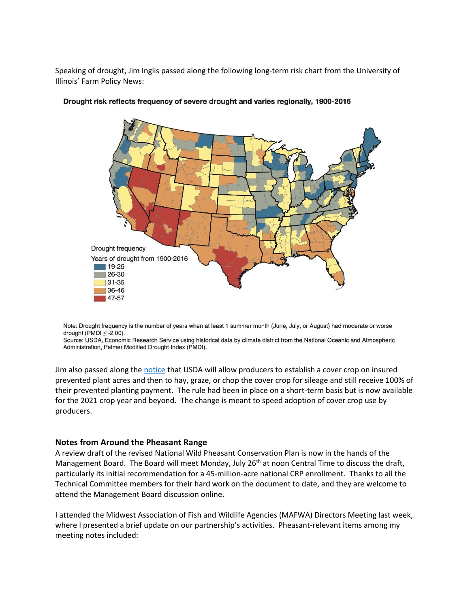Speaking of drought, Jim Inglis passed along the following long-term risk chart from the University of Illinois' Farm Policy News:



#### Drought risk reflects frequency of severe drought and varies regionally, 1900-2016

Note: Drought frequency is the number of years when at least 1 summer month (June, July, or August) had moderate or worse drought (PMDI  $\leq$  -2.00).

Source: USDA, Economic Research Service using historical data by climate district from the National Oceanic and Atmospheric Administration, Palmer Modified Drought Index (PMDI).

Jim also passed along th[e notice](https://www.rma.usda.gov/en/News-Room/Press/Press-Releases/2021-News/Producers-Can-Now-Hay-Graze-and-Chop-Cover-Crops-and-Still-Receive-Full-Prevented-Planting-Paymnt) that USDA will allow producers to establish a cover crop on insured prevented plant acres and then to hay, graze, or chop the cover crop for sileage and still receive 100% of their prevented planting payment. The rule had been in place on a short-term basis but is now available for the 2021 crop year and beyond. The change is meant to speed adoption of cover crop use by producers.

#### **Notes from Around the Pheasant Range**

A review draft of the revised National Wild Pheasant Conservation Plan is now in the hands of the Management Board. The Board will meet Monday, July 26<sup>th</sup> at noon Central Time to discuss the draft, particularly its initial recommendation for a 45-million-acre national CRP enrollment. Thanks to all the Technical Committee members for their hard work on the document to date, and they are welcome to attend the Management Board discussion online.

I attended the Midwest Association of Fish and Wildlife Agencies (MAFWA) Directors Meeting last week, where I presented a brief update on our partnership's activities. Pheasant-relevant items among my meeting notes included: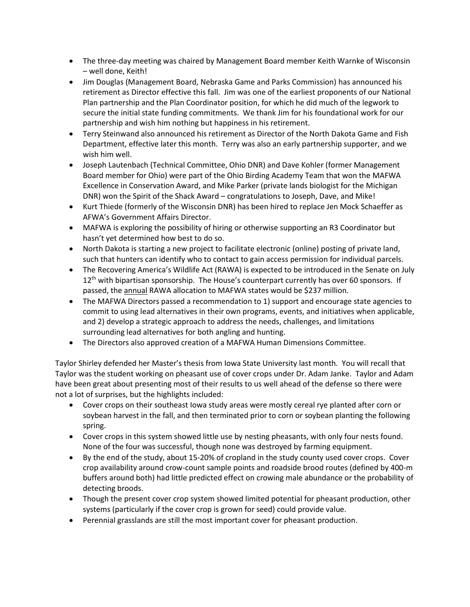- The three-day meeting was chaired by Management Board member Keith Warnke of Wisconsin – well done, Keith!
- Jim Douglas (Management Board, Nebraska Game and Parks Commission) has announced his retirement as Director effective this fall. Jim was one of the earliest proponents of our National Plan partnership and the Plan Coordinator position, for which he did much of the legwork to secure the initial state funding commitments. We thank Jim for his foundational work for our partnership and wish him nothing but happiness in his retirement.
- Terry Steinwand also announced his retirement as Director of the North Dakota Game and Fish Department, effective later this month. Terry was also an early partnership supporter, and we wish him well.
- Joseph Lautenbach (Technical Committee, Ohio DNR) and Dave Kohler (former Management Board member for Ohio) were part of the Ohio Birding Academy Team that won the MAFWA Excellence in Conservation Award, and Mike Parker (private lands biologist for the Michigan DNR) won the Spirit of the Shack Award – congratulations to Joseph, Dave, and Mike!
- Kurt Thiede (formerly of the Wisconsin DNR) has been hired to replace Jen Mock Schaeffer as AFWA's Government Affairs Director.
- MAFWA is exploring the possibility of hiring or otherwise supporting an R3 Coordinator but hasn't yet determined how best to do so.
- North Dakota is starting a new project to facilitate electronic (online) posting of private land, such that hunters can identify who to contact to gain access permission for individual parcels.
- The Recovering America's Wildlife Act (RAWA) is expected to be introduced in the Senate on July  $12<sup>th</sup>$  with bipartisan sponsorship. The House's counterpart currently has over 60 sponsors. If passed, the annual RAWA allocation to MAFWA states would be \$237 million.
- The MAFWA Directors passed a recommendation to 1) support and encourage state agencies to commit to using lead alternatives in their own programs, events, and initiatives when applicable, and 2) develop a strategic approach to address the needs, challenges, and limitations surrounding lead alternatives for both angling and hunting.
- The Directors also approved creation of a MAFWA Human Dimensions Committee.

Taylor Shirley defended her Master's thesis from Iowa State University last month. You will recall that Taylor was the student working on pheasant use of cover crops under Dr. Adam Janke. Taylor and Adam have been great about presenting most of their results to us well ahead of the defense so there were not a lot of surprises, but the highlights included:

- Cover crops on their southeast Iowa study areas were mostly cereal rye planted after corn or soybean harvest in the fall, and then terminated prior to corn or soybean planting the following spring.
- Cover crops in this system showed little use by nesting pheasants, with only four nests found. None of the four was successful, though none was destroyed by farming equipment.
- By the end of the study, about 15-20% of cropland in the study county used cover crops. Cover crop availability around crow-count sample points and roadside brood routes (defined by 400-m buffers around both) had little predicted effect on crowing male abundance or the probability of detecting broods.
- Though the present cover crop system showed limited potential for pheasant production, other systems (particularly if the cover crop is grown for seed) could provide value.
- Perennial grasslands are still the most important cover for pheasant production.